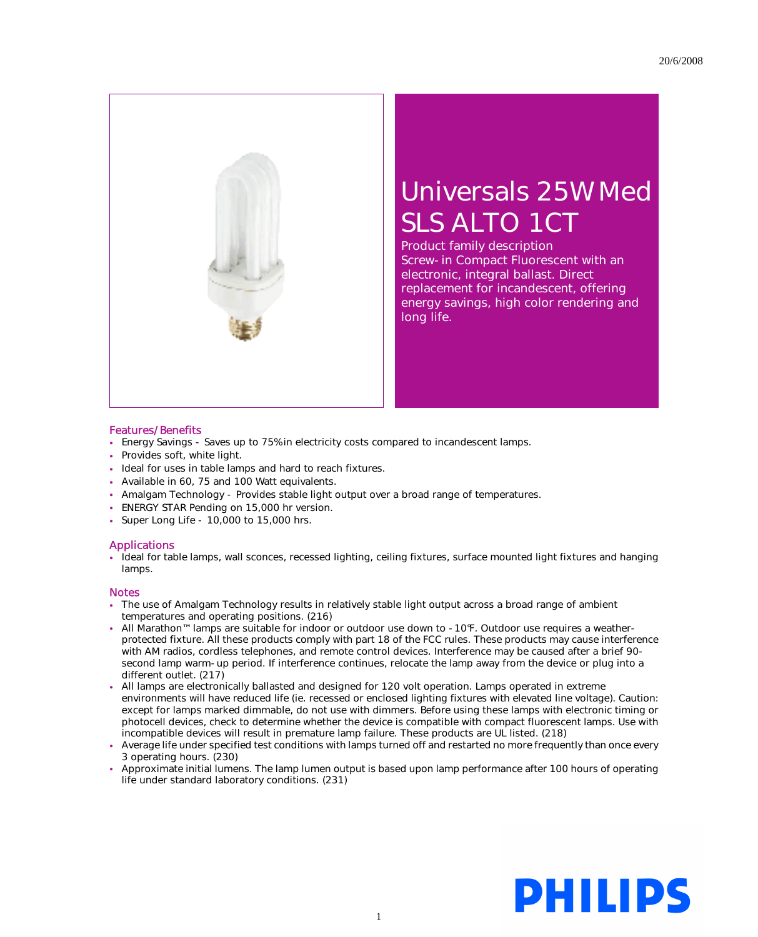

## Universals 25W Med SLS ALTO 1CT

Product family description Screw-in Compact Fluorescent with an electronic, integral ballast. Direct replacement for incandescent, offering energy savings, high color rendering and long life.

## Features/Benefits

- Energy Savings Saves up to 75% in electricity costs compared to incandescent lamps.
- Provides soft, white light.
- Ideal for uses in table lamps and hard to reach fixtures.
- Available in 60, 75 and 100 Watt equivalents.
- Amalgam Technology Provides stable light output over a broad range of temperatures.
- ENERGY STAR Pending on 15,000 hr version.
- Super Long Life 10,000 to 15,000 hrs.

## Applications

• Ideal for table lamps, wall sconces, recessed lighting, ceiling fixtures, surface mounted light fixtures and hanging lamps.

## Notes

- The use of Amalgam Technology results in relatively stable light output across a broad range of ambient temperatures and operating positions. (216)
- All Marathon™ lamps are suitable for indoor or outdoor use down to -10°F. Outdoor use requires a weatherprotected fixture. All these products comply with part 18 of the FCC rules. These products may cause interference with AM radios, cordless telephones, and remote control devices. Interference may be caused after a brief 90 second lamp warm-up period. If interference continues, relocate the lamp away from the device or plug into a different outlet. (217)
- All lamps are electronically ballasted and designed for 120 volt operation. Lamps operated in extreme environments will have reduced life (ie. recessed or enclosed lighting fixtures with elevated line voltage). Caution: except for lamps marked dimmable, do not use with dimmers. Before using these lamps with electronic timing or photocell devices, check to determine whether the device is compatible with compact fluorescent lamps. Use with incompatible devices will result in premature lamp failure. These products are UL listed. (218)
- Average life under specified test conditions with lamps turned off and restarted no more frequently than once every 3 operating hours. (230)
- Approximate initial lumens. The lamp lumen output is based upon lamp performance after 100 hours of operating life under standard laboratory conditions. (231)